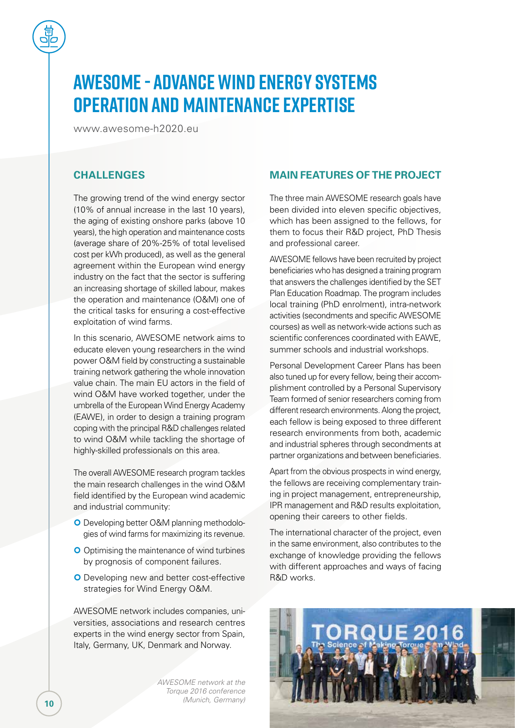# **AWESOME - Advance Wind Energy Systems Operation and Maintenance Expertise**

[www.awesome-h2020.eu](http://www.awesome-h2020.eu)

# **CHALLENGES**

The growing trend of the wind energy sector (10% of annual increase in the last 10 years), the aging of existing onshore parks (above 10 years), the high operation and maintenance costs (average share of 20%-25% of total levelised cost per kWh produced), as well as the general agreement within the European wind energy industry on the fact that the sector is suffering an increasing shortage of skilled labour, makes the operation and maintenance (O&M) one of the critical tasks for ensuring a cost-effective exploitation of wind farms.

In this scenario, AWESOME network aims to educate eleven young researchers in the wind power O&M field by constructing a sustainable training network gathering the whole innovation value chain. The main EU actors in the field of wind O&M have worked together, under the umbrella of the European Wind Energy Academy (EAWE), in order to design a training program coping with the principal R&D challenges related to wind O&M while tackling the shortage of highly-skilled professionals on this area.

The overall AWESOME research program tackles the main research challenges in the wind O&M field identified by the European wind academic and industrial community:

- **O** Developing better O&M planning methodologies of wind farms for maximizing its revenue.
- **O** Optimising the maintenance of wind turbines by prognosis of component failures.
- **O** Developing new and better cost-effective strategies for Wind Energy O&M.

AWESOME network includes companies, universities, associations and research centres experts in the wind energy sector from Spain, Italy, Germany, UK, Denmark and Norway.

> *AWESOME network at the Torque 2016 conference (Munich, Germany)*

## **MAIN FEATURES OF THE PROJECT**

The three main AWESOME research goals have been divided into eleven specific objectives, which has been assigned to the fellows, for them to focus their R&D project, PhD Thesis and professional career.

AWESOME fellows have been recruited by project beneficiaries who has designed a training program that answers the challenges identified by the SET Plan Education Roadmap. The program includes local training (PhD enrolment), intra-network activities (secondments and specific AWESOME courses) as well as network-wide actions such as scientific conferences coordinated with EAWE, summer schools and industrial workshops.

Personal Development Career Plans has been also tuned up for every fellow, being their accomplishment controlled by a Personal Supervisory Team formed of senior researchers coming from different research environments. Along the project, each fellow is being exposed to three different research environments from both, academic and industrial spheres through secondments at partner organizations and between beneficiaries.

Apart from the obvious prospects in wind energy, the fellows are receiving complementary training in project management, entrepreneurship, IPR management and R&D results exploitation, opening their careers to other fields.

The international character of the project, even in the same environment, also contributes to the exchange of knowledge providing the fellows with different approaches and ways of facing R&D works.